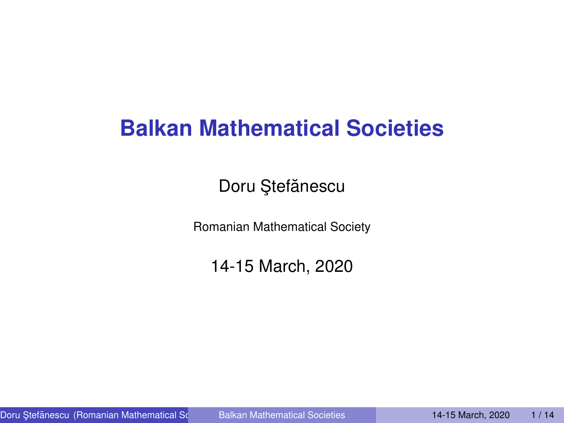# **Balkan Mathematical Societies**

Doru Ştefănescu

Romanian Mathematical Society

<span id="page-0-0"></span>14-15 March, 2020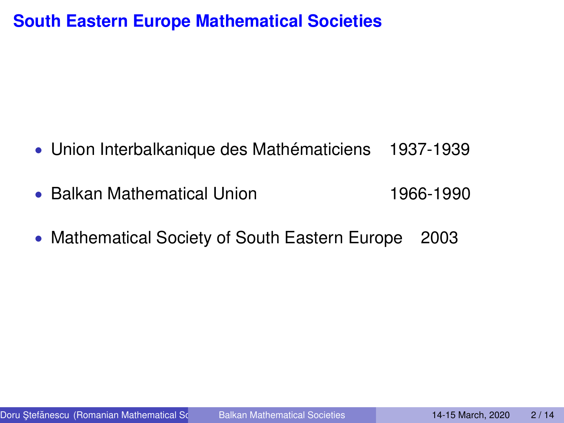## **South Eastern Europe Mathematical Societies**

- Union Interbalkanique des Mathématiciens 1937-1939
- Balkan Mathematical Union 1966-1990
- Mathematical Society of South Eastern Europe 2003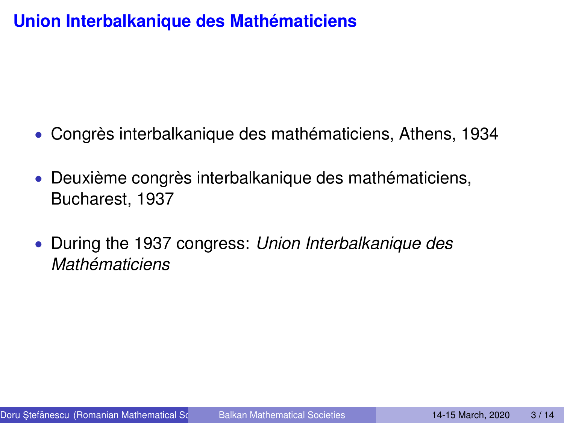# **Union Interbalkanique des Mathématiciens**

- Congrès interbalkanique des mathématiciens, Athens, 1934
- Deuxième congrès interbalkanique des mathématiciens, Bucharest, 1937
- During the 1937 congress: *Union Interbalkanique des Mathématiciens*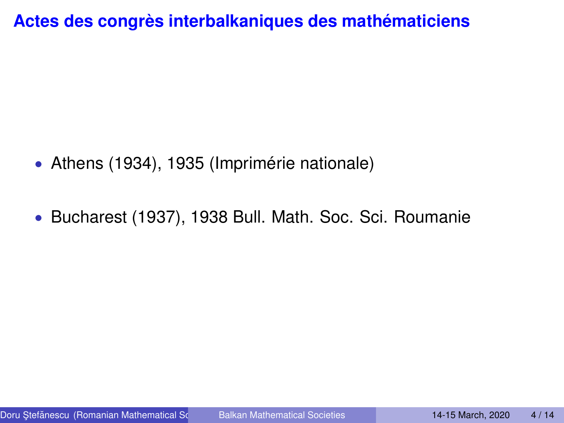**Actes des congrès interbalkaniques des mathématiciens**

- Athens (1934), 1935 (Imprimérie nationale)
- Bucharest (1937), 1938 Bull. Math. Soc. Sci. Roumanie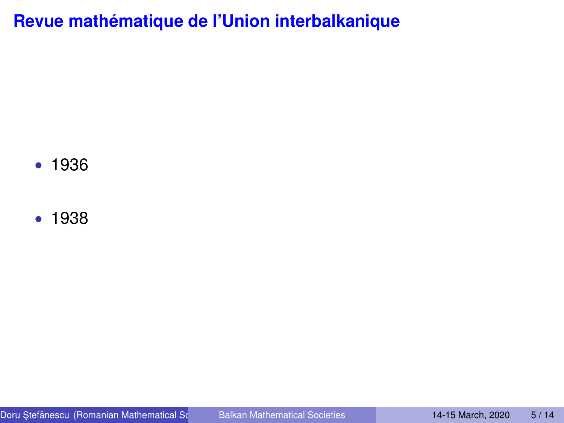**Revue mathématique de l'Union interbalkanique**

• 1936

• 1938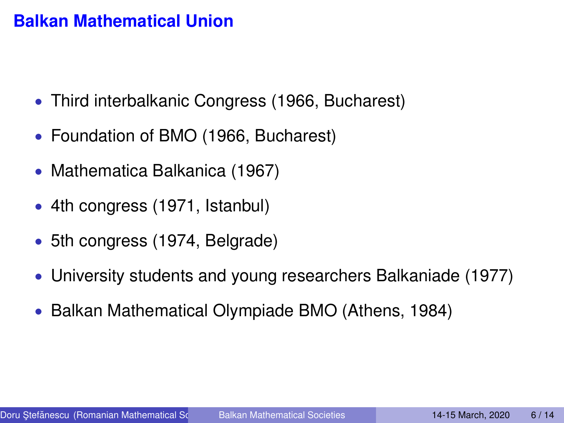#### **Balkan Mathematical Union**

- Third interbalkanic Congress (1966, Bucharest)
- Foundation of BMO (1966, Bucharest)
- Mathematica Balkanica (1967)
- 4th congress (1971, Istanbul)
- 5th congress (1974, Belgrade)
- University students and young researchers Balkaniade (1977)
- Balkan Mathematical Olympiade BMO (Athens, 1984)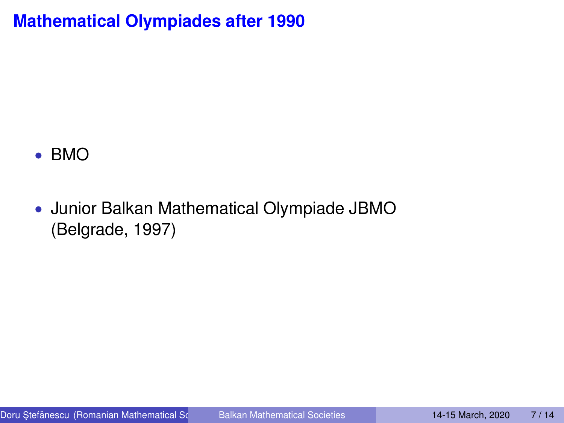**Mathematical Olympiades after 1990**

#### • BMO

• Junior Balkan Mathematical Olympiade JBMO (Belgrade, 1997)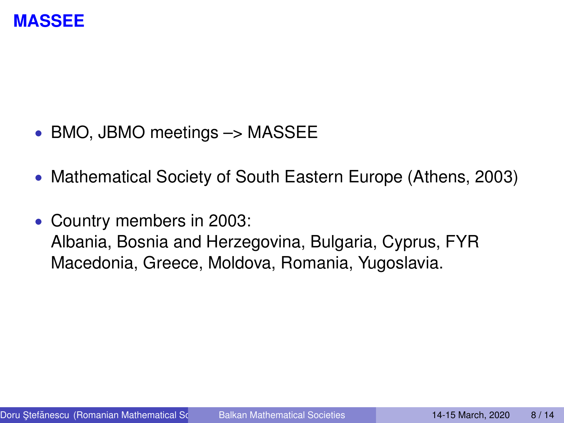

- BMO, JBMO meetings -> MASSEE
- Mathematical Society of South Eastern Europe (Athens, 2003)
- Country members in 2003: Albania, Bosnia and Herzegovina, Bulgaria, Cyprus, FYR Macedonia, Greece, Moldova, Romania, Yugoslavia.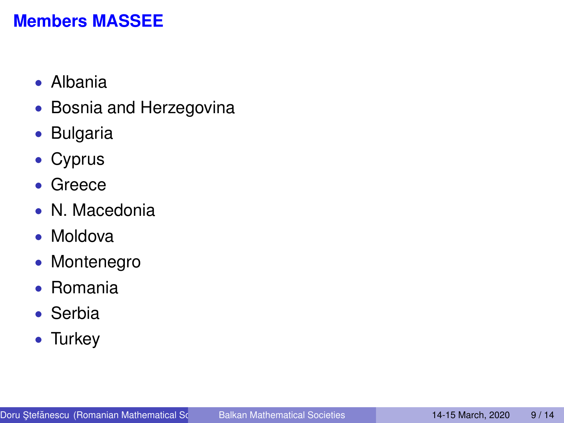# **Members MASSEE**

- Albania
- Bosnia and Herzegovina
- Bulgaria
- Cyprus
- Greece
- N. Macedonia
- Moldova
- Montenegro
- Romania
- Serbia
- Turkey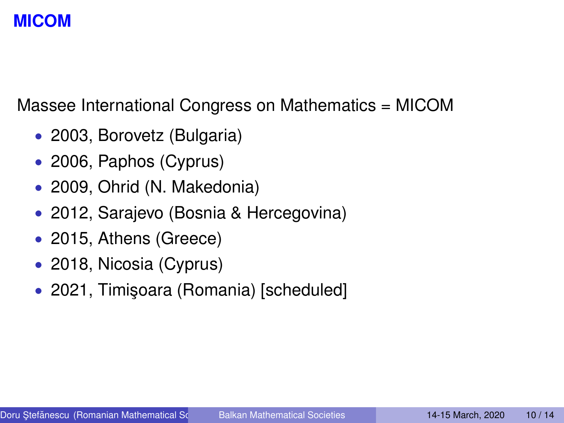# **MICOM**

Massee International Congress on Mathematics = MICOM

- 2003, Borovetz (Bulgaria)
- 2006, Paphos (Cyprus)
- 2009, Ohrid (N. Makedonia)
- 2012, Sarajevo (Bosnia & Hercegovina)
- 2015, Athens (Greece)
- 2018, Nicosia (Cyprus)
- 2021, Timişoara (Romania) [scheduled]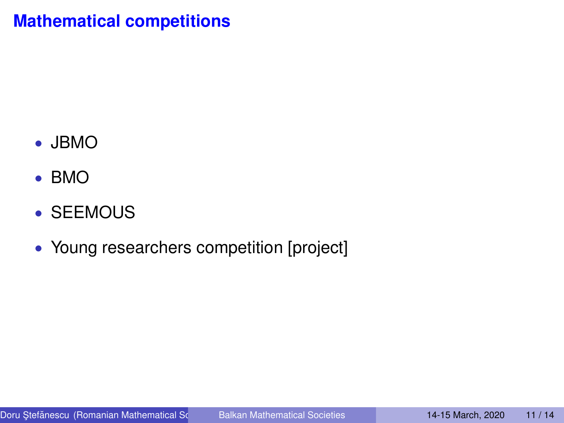# **Mathematical competitions**

- JBMO
- BMO
- SEEMOUS
- Young researchers competition [project]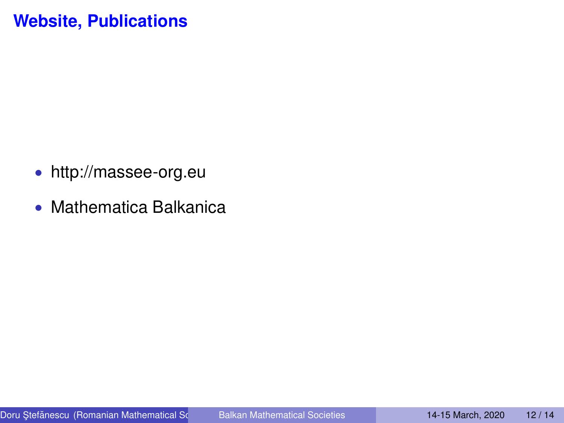# **Website, Publications**

- http://massee-org.eu
- Mathematica Balkanica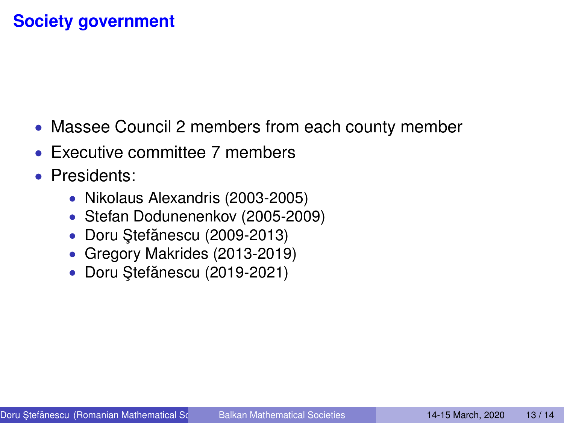# **Society government**

- Massee Council 2 members from each county member
- Executive committee 7 members
- Presidents:
	- Nikolaus Alexandris (2003-2005)
	- Stefan Dodunenenkov (2005-2009)
	- Doru Stefănescu (2009-2013)
	- Gregory Makrides (2013-2019)
	- Doru Stefănescu (2019-2021)